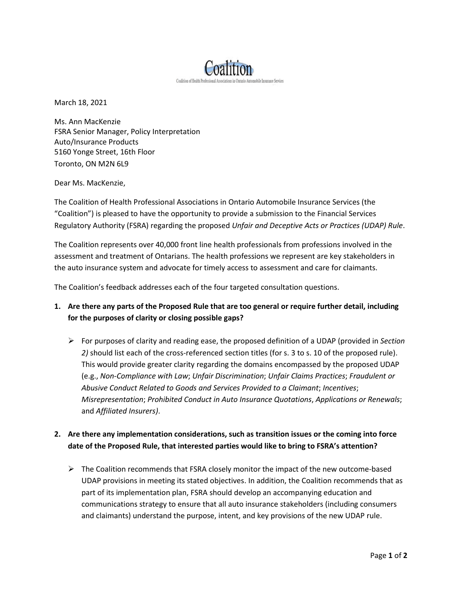

March 18, 2021

Ms. Ann MacKenzie FSRA Senior Manager, Policy Interpretation Auto/Insurance Products 5160 Yonge Street, 16th Floor Toronto, ON M2N 6L9

Dear Ms. MacKenzie,

The Coalition of Health Professional Associations in Ontario Automobile Insurance Services (the "Coalition") is pleased to have the opportunity to provide a submission to the Financial Services Regulatory Authority (FSRA) regarding the proposed *Unfair and Deceptive Acts or Practices (UDAP) Rule*.

The Coalition represents over 40,000 front line health professionals from professions involved in the assessment and treatment of Ontarians. The health professions we represent are key stakeholders in the auto insurance system and advocate for timely access to assessment and care for claimants.

The Coalition's feedback addresses each of the four targeted consultation questions.

- **1. Are there any parts of the Proposed Rule that are too general or require further detail, including for the purposes of clarity or closing possible gaps?**
	- ➢ For purposes of clarity and reading ease, the proposed definition of a UDAP (provided in *Section 2)* should list each of the cross-referenced section titles (for s. 3 to s. 10 of the proposed rule). This would provide greater clarity regarding the domains encompassed by the proposed UDAP (e.g., *Non-Compliance with Law*; *Unfair Discrimination*; *Unfair Claims Practices*; *Fraudulent or Abusive Conduct Related to Goods and Services Provided to a Claimant*; *Incentives*; *Misrepresentation*; *Prohibited Conduct in Auto Insurance Quotations*, *Applications or Renewals*; and *Affiliated Insurers)*.
- **2. Are there any implementation considerations, such as transition issues or the coming into force date of the Proposed Rule, that interested parties would like to bring to FSRA's attention?**
	- $\triangleright$  The Coalition recommends that FSRA closely monitor the impact of the new outcome-based UDAP provisions in meeting its stated objectives. In addition, the Coalition recommends that as part of its implementation plan, FSRA should develop an accompanying education and communications strategy to ensure that all auto insurance stakeholders (including consumers and claimants) understand the purpose, intent, and key provisions of the new UDAP rule.